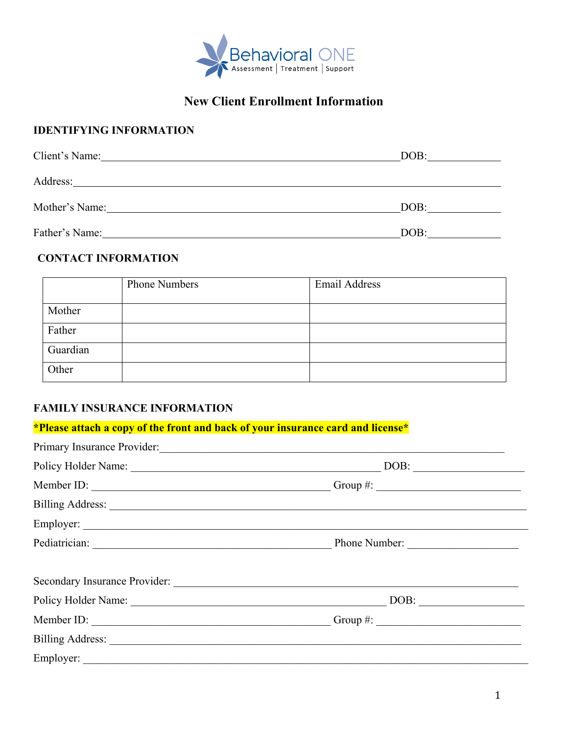

# **New Client Enrollment Information**

## **IDENTIFYING INFORMATION**

| Client's Name: | DOB: |
|----------------|------|
| Address:       |      |
| Mother's Name: | DOB: |
| Father's Name: | DOB: |

## **CONTACT INFORMATION**

|          | <b>Phone Numbers</b> | Email Address |
|----------|----------------------|---------------|
| Mother   |                      |               |
| Father   |                      |               |
| Guardian |                      |               |
| Other    |                      |               |

## **FAMILY INSURANCE INFORMATION**

| *Please attach a copy of the front and back of your insurance card and license* |                                                                                                                                                                                                                                                                                                                                                                                                                                       |
|---------------------------------------------------------------------------------|---------------------------------------------------------------------------------------------------------------------------------------------------------------------------------------------------------------------------------------------------------------------------------------------------------------------------------------------------------------------------------------------------------------------------------------|
|                                                                                 | Primary Insurance Provider: 1988                                                                                                                                                                                                                                                                                                                                                                                                      |
|                                                                                 | $\boxed{\text{DOB:}\n \begin{picture}(0,0) \label{eq:1} \put(0,0){\dashbox{0.5}(0,0){ }} \thicklines \put(0,0){\dashbox{0.5}(0,0){ }} \thicklines \put(0,0){\dashbox{0.5}(0,0){ }} \thicklines \put(0,0){\dashbox{0.5}(0,0){ }} \thicklines \put(0,0){\dashbox{0.5}(0,0){ }} \thicklines \put(0,0){\dashbox{0.5}(0,0){ }} \thicklines \put(0,0){\dashbox{0.5}(0,0){ }} \thicklines \put(0,0){\dashbox{0.5}(0,0){ }} \thicklines \put$ |
|                                                                                 |                                                                                                                                                                                                                                                                                                                                                                                                                                       |
|                                                                                 | Billing Address: <u>New York: Address:</u> New York: 1997                                                                                                                                                                                                                                                                                                                                                                             |
|                                                                                 |                                                                                                                                                                                                                                                                                                                                                                                                                                       |
|                                                                                 |                                                                                                                                                                                                                                                                                                                                                                                                                                       |
|                                                                                 |                                                                                                                                                                                                                                                                                                                                                                                                                                       |
|                                                                                 |                                                                                                                                                                                                                                                                                                                                                                                                                                       |
|                                                                                 |                                                                                                                                                                                                                                                                                                                                                                                                                                       |
|                                                                                 |                                                                                                                                                                                                                                                                                                                                                                                                                                       |
|                                                                                 |                                                                                                                                                                                                                                                                                                                                                                                                                                       |
|                                                                                 |                                                                                                                                                                                                                                                                                                                                                                                                                                       |
|                                                                                 |                                                                                                                                                                                                                                                                                                                                                                                                                                       |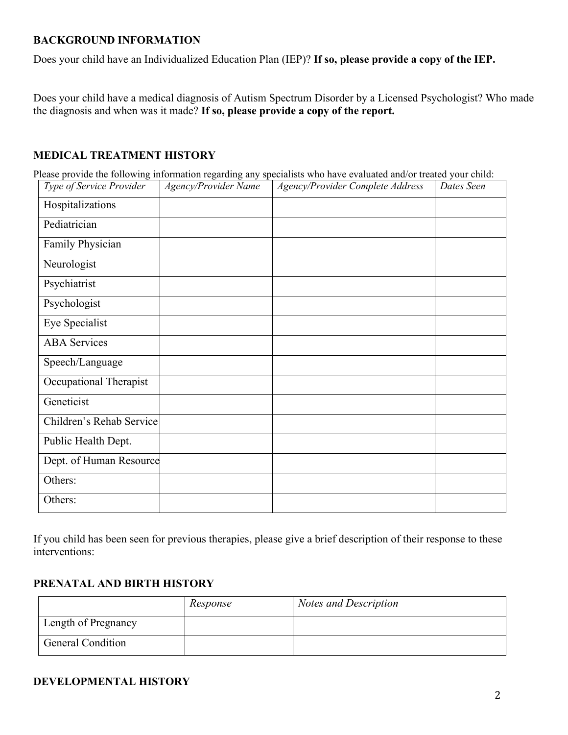#### **BACKGROUND INFORMATION**

Does your child have an Individualized Education Plan (IEP)? **If so, please provide a copy of the IEP.** 

Does your child have a medical diagnosis of Autism Spectrum Disorder by a Licensed Psychologist? Who made the diagnosis and when was it made? **If so, please provide a copy of the report.**

## **MEDICAL TREATMENT HISTORY**

Please provide the following information regarding any specialists who have evaluated and/or treated your child:

| Type of Service Provider | Agency/Provider Name | Agency/Provider Complete Address | Dates Seen |
|--------------------------|----------------------|----------------------------------|------------|
| Hospitalizations         |                      |                                  |            |
| Pediatrician             |                      |                                  |            |
| Family Physician         |                      |                                  |            |
| Neurologist              |                      |                                  |            |
| Psychiatrist             |                      |                                  |            |
| Psychologist             |                      |                                  |            |
| Eye Specialist           |                      |                                  |            |
| <b>ABA</b> Services      |                      |                                  |            |
| Speech/Language          |                      |                                  |            |
| Occupational Therapist   |                      |                                  |            |
| Geneticist               |                      |                                  |            |
| Children's Rehab Service |                      |                                  |            |
| Public Health Dept.      |                      |                                  |            |
| Dept. of Human Resource  |                      |                                  |            |
| Others:                  |                      |                                  |            |
| Others:                  |                      |                                  |            |

If you child has been seen for previous therapies, please give a brief description of their response to these interventions:

#### **PRENATAL AND BIRTH HISTORY**

|                          | Response | <b>Notes and Description</b> |
|--------------------------|----------|------------------------------|
| Length of Pregnancy      |          |                              |
| <b>General Condition</b> |          |                              |

## **DEVELOPMENTAL HISTORY**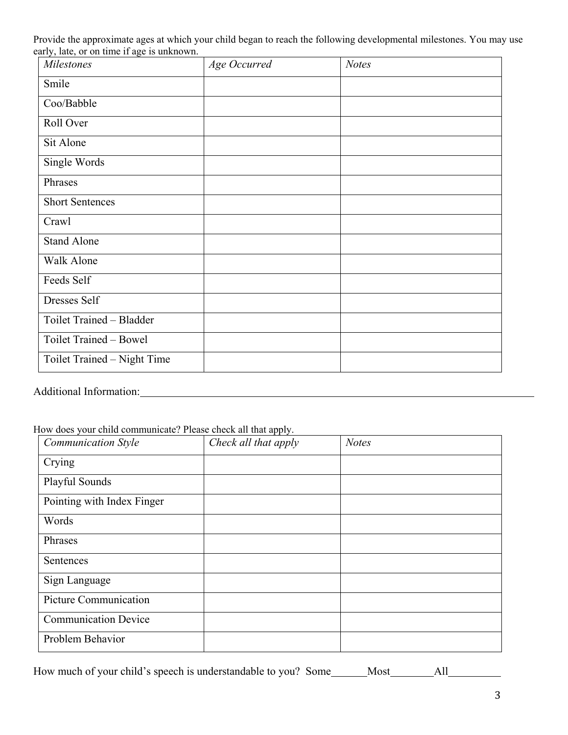Provide the approximate ages at which your child began to reach the following developmental milestones. You may use early, late, or on time if age is unknown.

| <b>Milestones</b>           | Age Occurred | <b>Notes</b> |
|-----------------------------|--------------|--------------|
| Smile                       |              |              |
| Coo/Babble                  |              |              |
| Roll Over                   |              |              |
| Sit Alone                   |              |              |
| Single Words                |              |              |
| Phrases                     |              |              |
| <b>Short Sentences</b>      |              |              |
| Crawl                       |              |              |
| <b>Stand Alone</b>          |              |              |
| Walk Alone                  |              |              |
| Feeds Self                  |              |              |
| Dresses Self                |              |              |
| Toilet Trained - Bladder    |              |              |
| Toilet Trained - Bowel      |              |              |
| Toilet Trained - Night Time |              |              |

### Additional Information:

| How does your child communicate? Please check all that apply. |  |  |  |  |  |  |  |
|---------------------------------------------------------------|--|--|--|--|--|--|--|
|---------------------------------------------------------------|--|--|--|--|--|--|--|

| <b>Communication Style</b>  | Check all that apply | <b>Notes</b> |
|-----------------------------|----------------------|--------------|
| Crying                      |                      |              |
| Playful Sounds              |                      |              |
| Pointing with Index Finger  |                      |              |
| Words                       |                      |              |
| Phrases                     |                      |              |
| Sentences                   |                      |              |
| Sign Language               |                      |              |
| Picture Communication       |                      |              |
| <b>Communication Device</b> |                      |              |
| Problem Behavior            |                      |              |

How much of your child's speech is understandable to you? Some Most All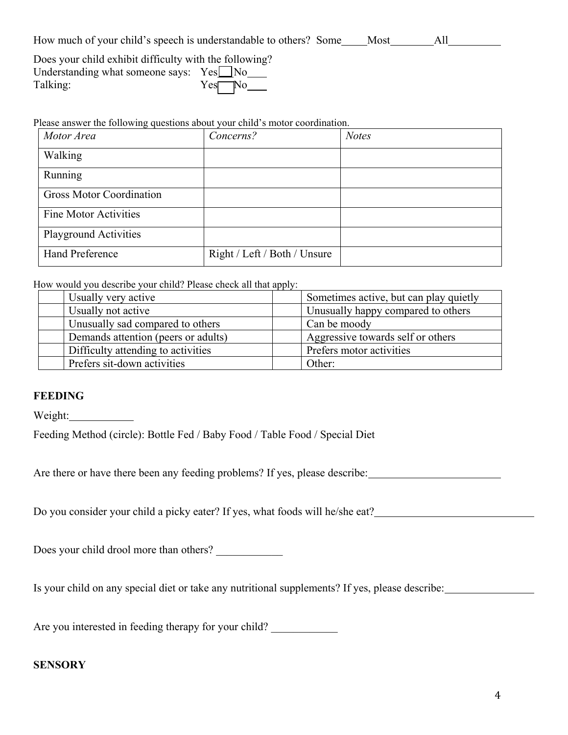| How much of your child's speech is understandable to others? Some | Most |  |  |
|-------------------------------------------------------------------|------|--|--|
|-------------------------------------------------------------------|------|--|--|

| Does your child exhibit difficulty with the following? |                 |
|--------------------------------------------------------|-----------------|
| Understanding what someone says: $Yes \Box No$         |                 |
| Talking:                                               | $Yes$ No $\_\_$ |

Please answer the following questions about your child's motor coordination.

| Motor Area                      | Concerns?                    | <b>Notes</b> |
|---------------------------------|------------------------------|--------------|
| Walking                         |                              |              |
| Running                         |                              |              |
| <b>Gross Motor Coordination</b> |                              |              |
| <b>Fine Motor Activities</b>    |                              |              |
| <b>Playground Activities</b>    |                              |              |
| <b>Hand Preference</b>          | Right / Left / Both / Unsure |              |

How would you describe your child? Please check all that apply:

| Usually very active                 | Sometimes active, but can play quietly |
|-------------------------------------|----------------------------------------|
| Usually not active                  | Unusually happy compared to others     |
| Unusually sad compared to others    | Can be moody                           |
| Demands attention (peers or adults) | Aggressive towards self or others      |
| Difficulty attending to activities  | Prefers motor activities               |
| Prefers sit-down activities         | Other:                                 |
|                                     |                                        |

#### **FEEDING**

Weight:

Feeding Method (circle): Bottle Fed / Baby Food / Table Food / Special Diet

Are there or have there been any feeding problems? If yes, please describe:

Do you consider your child a picky eater? If yes, what foods will he/she eat?

Does your child drool more than others? \_\_\_\_\_\_\_\_\_\_\_\_

Is your child on any special diet or take any nutritional supplements? If yes, please describe:

Are you interested in feeding therapy for your child? \_\_\_\_\_\_\_\_\_\_\_\_\_\_\_\_\_\_\_\_\_\_\_\_\_\_

#### **SENSORY**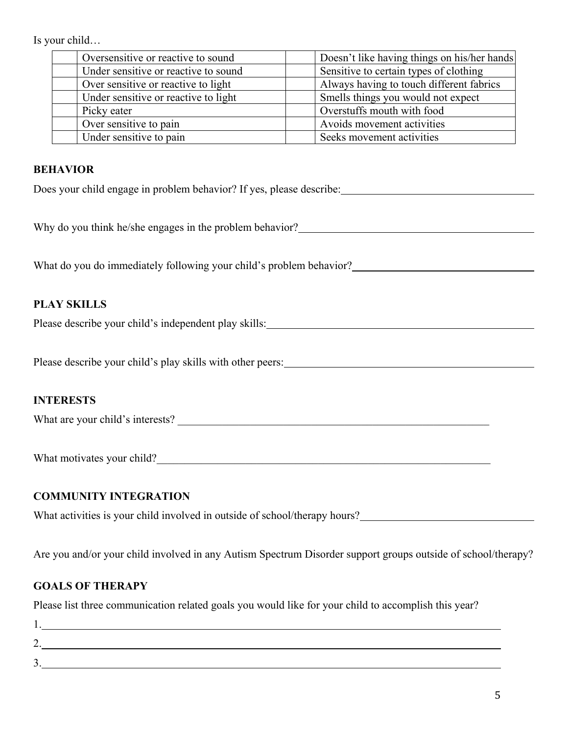Is your child…

| Oversensitive or reactive to sound   | Doesn't like having things on his/her hands |
|--------------------------------------|---------------------------------------------|
| Under sensitive or reactive to sound | Sensitive to certain types of clothing      |
| Over sensitive or reactive to light  | Always having to touch different fabrics    |
| Under sensitive or reactive to light | Smells things you would not expect          |
| Picky eater                          | Overstuffs mouth with food                  |
| Over sensitive to pain               | Avoids movement activities                  |
| Under sensitive to pain              | Seeks movement activities                   |

#### **BEHAVIOR**

Does your child engage in problem behavior? If yes, please describe:

Why do you think he/she engages in the problem behavior?

What do you do immediately following your child's problem behavior?

#### **PLAY SKILLS**

Please describe your child's independent play skills:<br>
<u>Please</u> describe your child's independent play skills:

Please describe your child's play skills with other peers:

#### **INTERESTS**

What are your child's interests?

What motivates your child?

#### **COMMUNITY INTEGRATION**

What activities is your child involved in outside of school/therapy hours?

Are you and/or your child involved in any Autism Spectrum Disorder support groups outside of school/therapy?

#### **GOALS OF THERAPY**

Please list three communication related goals you would like for your child to accomplish this year?

| ∽<br><u>.</u> |  |  |
|---------------|--|--|
| ◡             |  |  |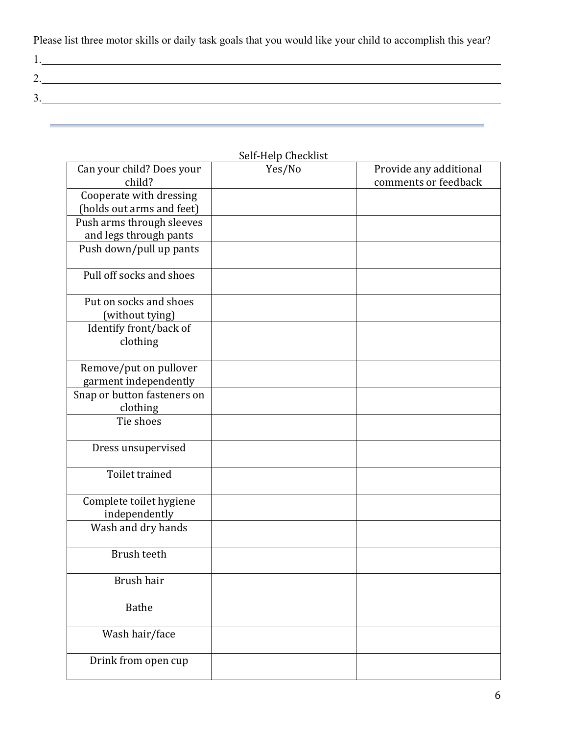Please list three motor skills or daily task goals that you would like your child to accomplish this year?

| <u>.</u> |  |  |
|----------|--|--|
|          |  |  |
|          |  |  |

|                                                      | Jeli-Heip Gileckiist |                                                |
|------------------------------------------------------|----------------------|------------------------------------------------|
| Can your child? Does your<br>child?                  | Yes/No               | Provide any additional<br>comments or feedback |
| Cooperate with dressing<br>(holds out arms and feet) |                      |                                                |
| Push arms through sleeves                            |                      |                                                |
| and legs through pants                               |                      |                                                |
| Push down/pull up pants                              |                      |                                                |
|                                                      |                      |                                                |
| Pull off socks and shoes                             |                      |                                                |
| Put on socks and shoes                               |                      |                                                |
| (without tying)                                      |                      |                                                |
| Identify front/back of                               |                      |                                                |
| clothing                                             |                      |                                                |
| Remove/put on pullover                               |                      |                                                |
| garment independently                                |                      |                                                |
| Snap or button fasteners on<br>clothing              |                      |                                                |
| Tie shoes                                            |                      |                                                |
| Dress unsupervised                                   |                      |                                                |
| Toilet trained                                       |                      |                                                |
| Complete toilet hygiene<br>independently             |                      |                                                |
| Wash and dry hands                                   |                      |                                                |
| <b>Brush teeth</b>                                   |                      |                                                |
| Brush hair                                           |                      |                                                |
| <b>Bathe</b>                                         |                      |                                                |
| Wash hair/face                                       |                      |                                                |
| Drink from open cup                                  |                      |                                                |

## Self-Help Checklist